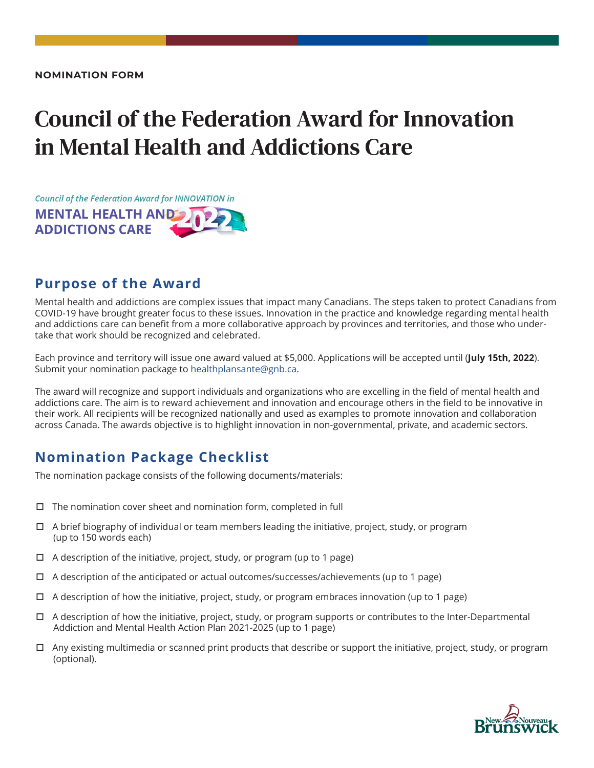# Council of the Federation Award for Innovation in Mental Health and Addictions Care



## **Purpose of the Award**

Mental health and addictions are complex issues that impact many Canadians. The steps taken to protect Canadians from COVID-19 have brought greater focus to these issues. Innovation in the practice and knowledge regarding mental health and addictions care can benefit from a more collaborative approach by provinces and territories, and those who undertake that work should be recognized and celebrated.

Each province and territory will issue one award valued at \$5,000. Applications will be accepted until (**July 15th, 2022**). Submit your nomination package to healthplansante@gnb.ca.

The award will recognize and support individuals and organizations who are excelling in the field of mental health and addictions care. The aim is to reward achievement and innovation and encourage others in the field to be innovative in their work. All recipients will be recognized nationally and used as examples to promote innovation and collaboration across Canada. The awards objective is to highlight innovation in non-governmental, private, and academic sectors.

### **Nomination Package Checklist**

The nomination package consists of the following documents/materials:

- $\Box$  The nomination cover sheet and nomination form, completed in full
- $\Box$  A brief biography of individual or team members leading the initiative, project, study, or program (up to 150 words each)
- $\Box$  A description of the initiative, project, study, or program (up to 1 page)
- $\Box$  A description of the anticipated or actual outcomes/successes/achievements (up to 1 page)
- $\Box$  A description of how the initiative, project, study, or program embraces innovation (up to 1 page)
- $\Box$  A description of how the initiative, project, study, or program supports or contributes to the Inter-Departmental Addiction and Mental Health Action Plan 2021-2025 (up to 1 page)
- $\Box$  Any existing multimedia or scanned print products that describe or support the initiative, project, study, or program (optional).

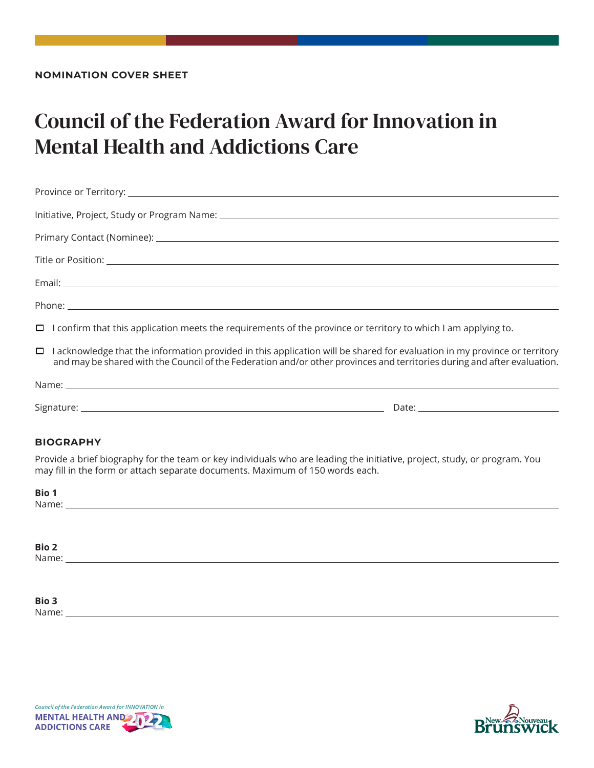## Council of the Federation Award for Innovation in Mental Health and Addictions Care

| $\Box$ I confirm that this application meets the requirements of the province or territory to which I am applying to.                                                                                                                                        |  |
|--------------------------------------------------------------------------------------------------------------------------------------------------------------------------------------------------------------------------------------------------------------|--|
| $\Box$ I acknowledge that the information provided in this application will be shared for evaluation in my province or territory<br>and may be shared with the Council of the Federation and/or other provinces and territories during and after evaluation. |  |
|                                                                                                                                                                                                                                                              |  |
|                                                                                                                                                                                                                                                              |  |

#### **BIOGRAPHY**

Provide a brief biography for the team or key individuals who are leading the initiative, project, study, or program. You may fill in the form or attach separate documents. Maximum of 150 words each.

| <b>Bio 1</b><br>Name: | <u> 1980 - Jan Sterling Sterling (d. 1980)</u> |  |  |
|-----------------------|------------------------------------------------|--|--|
|                       |                                                |  |  |
| <b>Bio 2</b><br>Name: |                                                |  |  |
|                       |                                                |  |  |

**Bio 3** Name:



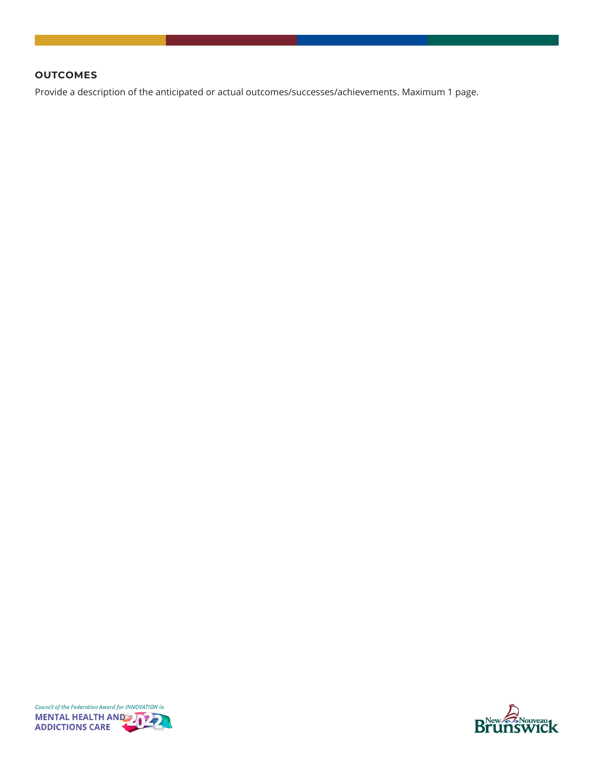#### **OUTCOMES**

Provide a description of the anticipated or actual outcomes/successes/achievements. Maximum 1 page.



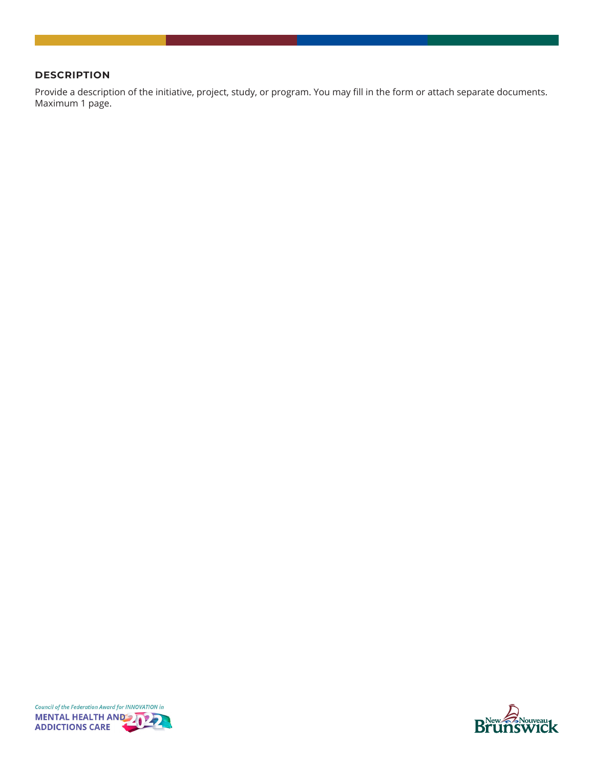#### **DESCRIPTION**

Provide a description of the initiative, project, study, or program. You may fill in the form or attach separate documents. Maximum 1 page.



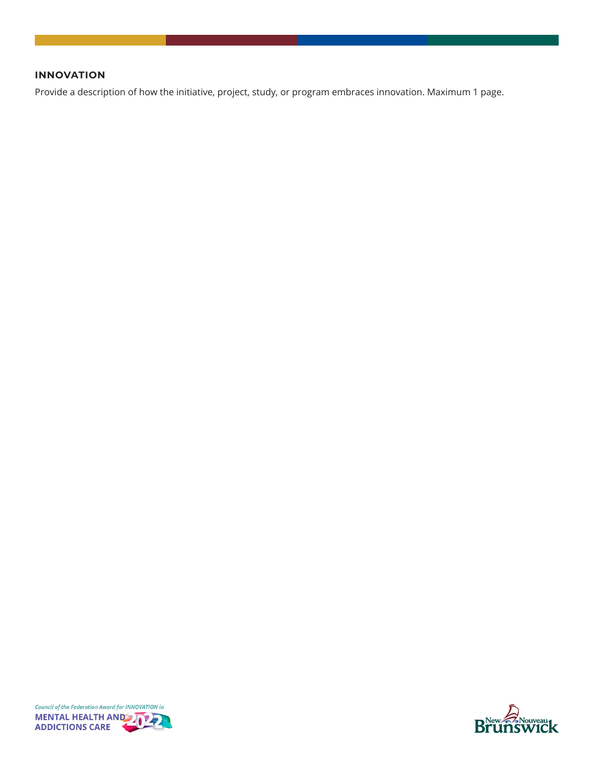#### **INNOVATION**

Provide a description of how the initiative, project, study, or program embraces innovation. Maximum 1 page.



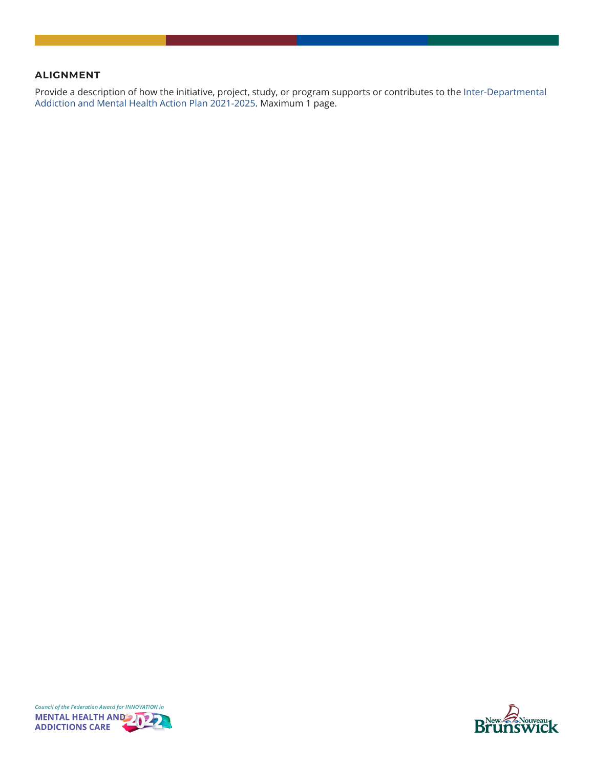#### **ALIGNMENT**

Provide a description of how the initiative, project, study, or program supports or contributes to the [Inter-Departmental](https://www2.gnb.ca/content/dam/gnb/Departments/h-s/pdf/en/MentalHealthandAddictions/inter-departmental_addiction_and_mental_health_action_plan.pdf)  [Addiction and Mental Health Action Plan 2021-2025](https://www2.gnb.ca/content/dam/gnb/Departments/h-s/pdf/en/MentalHealthandAddictions/inter-departmental_addiction_and_mental_health_action_plan.pdf). Maximum 1 page.